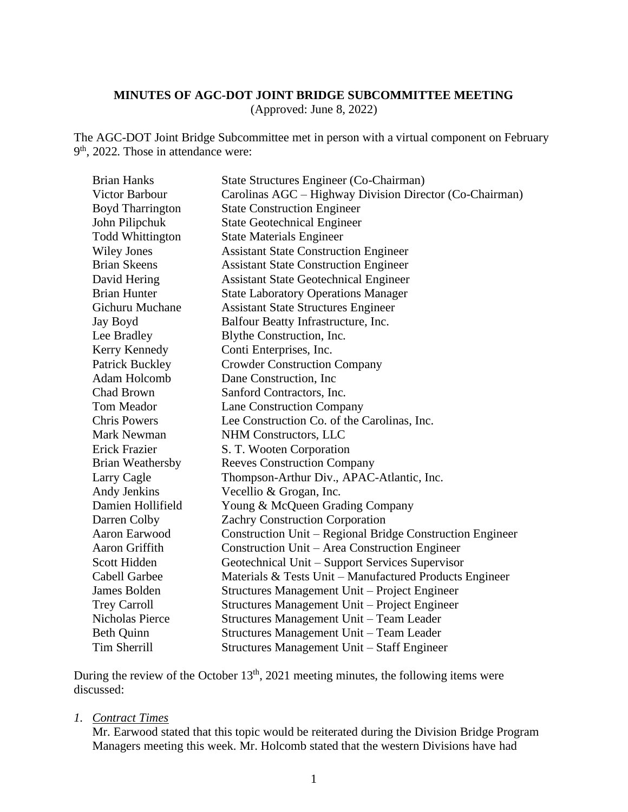### **MINUTES OF AGC-DOT JOINT BRIDGE SUBCOMMITTEE MEETING**

(Approved: June 8, 2022)

The AGC-DOT Joint Bridge Subcommittee met in person with a virtual component on February 9<sup>th</sup>, 2022. Those in attendance were:

| <b>Brian Hanks</b>      | State Structures Engineer (Co-Chairman)                   |
|-------------------------|-----------------------------------------------------------|
| <b>Victor Barbour</b>   | Carolinas AGC – Highway Division Director (Co-Chairman)   |
| <b>Boyd Tharrington</b> | <b>State Construction Engineer</b>                        |
| John Pilipchuk          | <b>State Geotechnical Engineer</b>                        |
| <b>Todd Whittington</b> | <b>State Materials Engineer</b>                           |
| <b>Wiley Jones</b>      | <b>Assistant State Construction Engineer</b>              |
| <b>Brian Skeens</b>     | <b>Assistant State Construction Engineer</b>              |
| David Hering            | <b>Assistant State Geotechnical Engineer</b>              |
| <b>Brian Hunter</b>     | <b>State Laboratory Operations Manager</b>                |
| Gichuru Muchane         | <b>Assistant State Structures Engineer</b>                |
| Jay Boyd                | Balfour Beatty Infrastructure, Inc.                       |
| Lee Bradley             | Blythe Construction, Inc.                                 |
| Kerry Kennedy           | Conti Enterprises, Inc.                                   |
| <b>Patrick Buckley</b>  | <b>Crowder Construction Company</b>                       |
| Adam Holcomb            | Dane Construction, Inc.                                   |
| Chad Brown              | Sanford Contractors, Inc.                                 |
| Tom Meador              | <b>Lane Construction Company</b>                          |
| <b>Chris Powers</b>     | Lee Construction Co. of the Carolinas, Inc.               |
| <b>Mark Newman</b>      | NHM Constructors, LLC                                     |
| Erick Frazier           | S. T. Wooten Corporation                                  |
| <b>Brian Weathersby</b> | <b>Reeves Construction Company</b>                        |
| Larry Cagle             | Thompson-Arthur Div., APAC-Atlantic, Inc.                 |
| Andy Jenkins            | Vecellio & Grogan, Inc.                                   |
| Damien Hollifield       | Young & McQueen Grading Company                           |
| Darren Colby            | <b>Zachry Construction Corporation</b>                    |
| Aaron Earwood           | Construction Unit – Regional Bridge Construction Engineer |
| Aaron Griffith          | Construction Unit – Area Construction Engineer            |
| Scott Hidden            | Geotechnical Unit - Support Services Supervisor           |
| Cabell Garbee           | Materials & Tests Unit - Manufactured Products Engineer   |
| James Bolden            | Structures Management Unit - Project Engineer             |
| <b>Trey Carroll</b>     | Structures Management Unit - Project Engineer             |
| Nicholas Pierce         | Structures Management Unit - Team Leader                  |
| Beth Quinn              | Structures Management Unit - Team Leader                  |
| <b>Tim Sherrill</b>     | Structures Management Unit - Staff Engineer               |

During the review of the October  $13<sup>th</sup>$ , 2021 meeting minutes, the following items were discussed:

*1. Contract Times*

Mr. Earwood stated that this topic would be reiterated during the Division Bridge Program Managers meeting this week. Mr. Holcomb stated that the western Divisions have had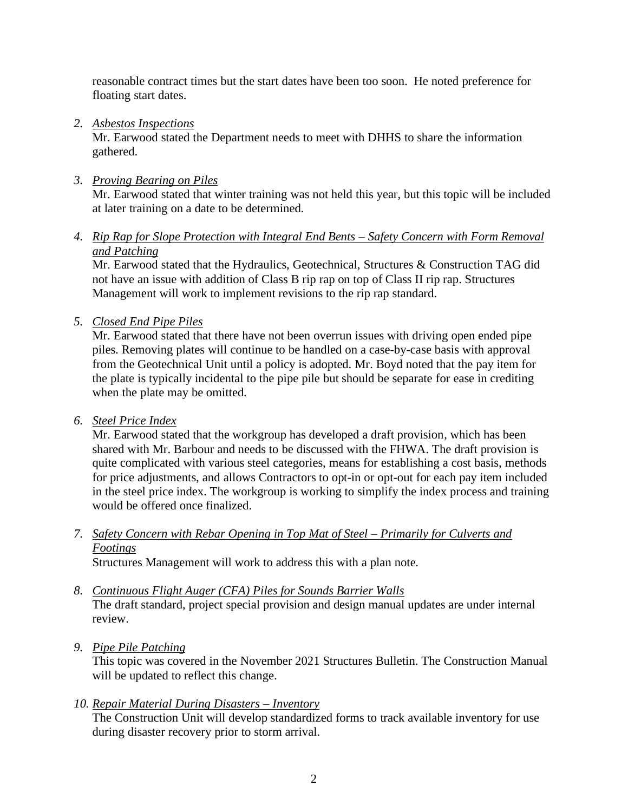reasonable contract times but the start dates have been too soon. He noted preference for floating start dates.

# *2. Asbestos Inspections*

Mr. Earwood stated the Department needs to meet with DHHS to share the information gathered.

# *3. Proving Bearing on Piles*

Mr. Earwood stated that winter training was not held this year, but this topic will be included at later training on a date to be determined.

*4. Rip Rap for Slope Protection with Integral End Bents – Safety Concern with Form Removal and Patching*

Mr. Earwood stated that the Hydraulics, Geotechnical, Structures & Construction TAG did not have an issue with addition of Class B rip rap on top of Class II rip rap. Structures Management will work to implement revisions to the rip rap standard.

*5. Closed End Pipe Piles* 

Mr. Earwood stated that there have not been overrun issues with driving open ended pipe piles. Removing plates will continue to be handled on a case-by-case basis with approval from the Geotechnical Unit until a policy is adopted. Mr. Boyd noted that the pay item for the plate is typically incidental to the pipe pile but should be separate for ease in crediting when the plate may be omitted.

# *6. Steel Price Index*

Mr. Earwood stated that the workgroup has developed a draft provision, which has been shared with Mr. Barbour and needs to be discussed with the FHWA. The draft provision is quite complicated with various steel categories, means for establishing a cost basis, methods for price adjustments, and allows Contractors to opt-in or opt-out for each pay item included in the steel price index. The workgroup is working to simplify the index process and training would be offered once finalized.

*7. Safety Concern with Rebar Opening in Top Mat of Steel – Primarily for Culverts and Footings*

Structures Management will work to address this with a plan note.

- *8. Continuous Flight Auger (CFA) Piles for Sounds Barrier Walls*  The draft standard, project special provision and design manual updates are under internal review.
- *9. Pipe Pile Patching*

This topic was covered in the November 2021 Structures Bulletin. The Construction Manual will be updated to reflect this change.

# *10. Repair Material During Disasters – Inventory*

The Construction Unit will develop standardized forms to track available inventory for use during disaster recovery prior to storm arrival.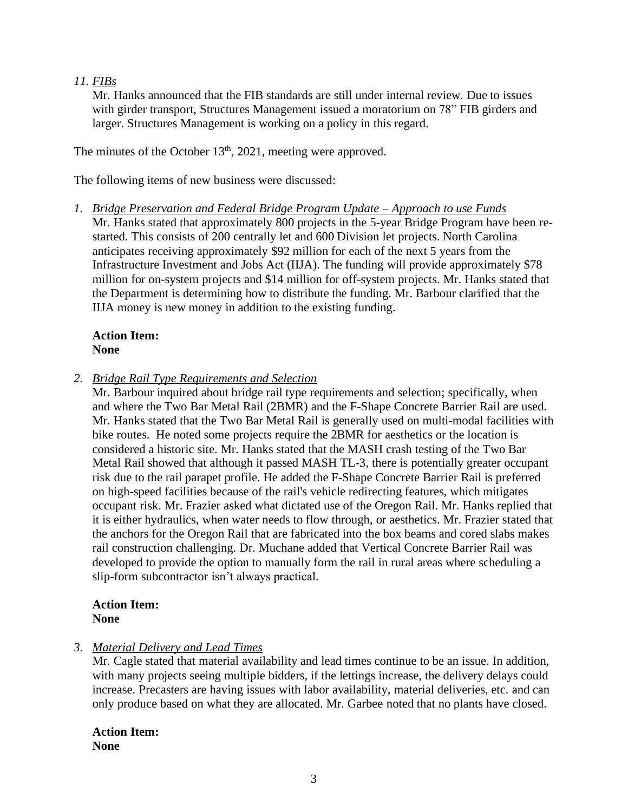# *11. FIBs*

Mr. Hanks announced that the FIB standards are still under internal review. Due to issues with girder transport, Structures Management issued a moratorium on 78" FIB girders and larger. Structures Management is working on a policy in this regard.

The minutes of the October  $13<sup>th</sup>$ , 2021, meeting were approved.

The following items of new business were discussed:

*1. Bridge Preservation and Federal Bridge Program Update – Approach to use Funds* Mr. Hanks stated that approximately 800 projects in the 5-year Bridge Program have been restarted. This consists of 200 centrally let and 600 Division let projects. North Carolina anticipates receiving approximately \$92 million for each of the next 5 years from the Infrastructure Investment and Jobs Act (IIJA). The funding will provide approximately \$78 million for on-system projects and \$14 million for off-system projects. Mr. Hanks stated that the Department is determining how to distribute the funding. Mr. Barbour clarified that the IIJA money is new money in addition to the existing funding.

### **Action Item: None**

*2. Bridge Rail Type Requirements and Selection* 

Mr. Barbour inquired about bridge rail type requirements and selection; specifically, when and where the Two Bar Metal Rail (2BMR) and the F-Shape Concrete Barrier Rail are used. Mr. Hanks stated that the Two Bar Metal Rail is generally used on multi-modal facilities with bike routes. He noted some projects require the 2BMR for aesthetics or the location is considered a historic site. Mr. Hanks stated that the MASH crash testing of the Two Bar Metal Rail showed that although it passed MASH TL-3, there is potentially greater occupant risk due to the rail parapet profile. He added the F-Shape Concrete Barrier Rail is preferred on high-speed facilities because of the rail's vehicle redirecting features, which mitigates occupant risk. Mr. Frazier asked what dictated use of the Oregon Rail. Mr. Hanks replied that it is either hydraulics, when water needs to flow through, or aesthetics. Mr. Frazier stated that the anchors for the Oregon Rail that are fabricated into the box beams and cored slabs makes rail construction challenging. Dr. Muchane added that Vertical Concrete Barrier Rail was developed to provide the option to manually form the rail in rural areas where scheduling a slip-form subcontractor isn't always practical.

### **Action Item: None**

# *3. Material Delivery and Lead Times*

Mr. Cagle stated that material availability and lead times continue to be an issue. In addition, with many projects seeing multiple bidders, if the lettings increase, the delivery delays could increase. Precasters are having issues with labor availability, material deliveries, etc. and can only produce based on what they are allocated. Mr. Garbee noted that no plants have closed.

**Action Item: None**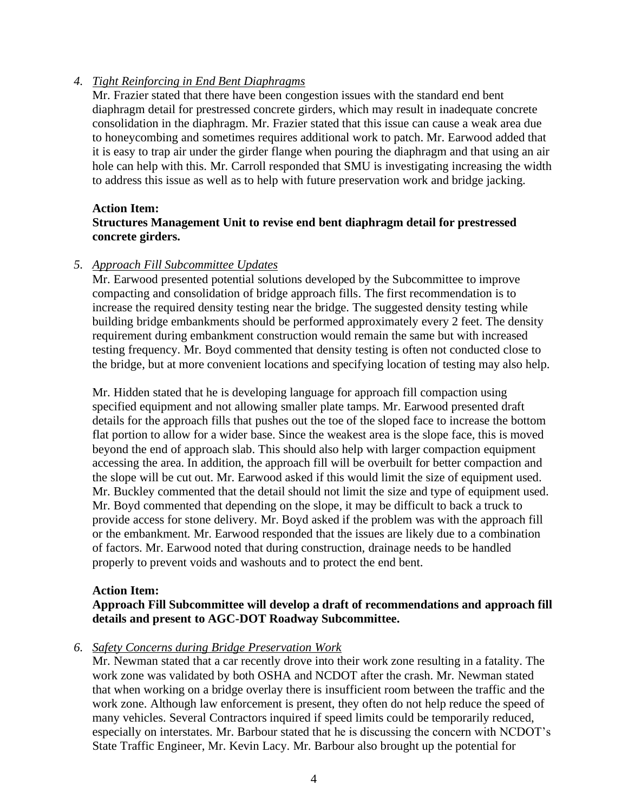## *4. Tight Reinforcing in End Bent Diaphragms*

Mr. Frazier stated that there have been congestion issues with the standard end bent diaphragm detail for prestressed concrete girders, which may result in inadequate concrete consolidation in the diaphragm. Mr. Frazier stated that this issue can cause a weak area due to honeycombing and sometimes requires additional work to patch. Mr. Earwood added that it is easy to trap air under the girder flange when pouring the diaphragm and that using an air hole can help with this. Mr. Carroll responded that SMU is investigating increasing the width to address this issue as well as to help with future preservation work and bridge jacking.

## **Action Item: Structures Management Unit to revise end bent diaphragm detail for prestressed concrete girders.**

## *5. Approach Fill Subcommittee Updates*

Mr. Earwood presented potential solutions developed by the Subcommittee to improve compacting and consolidation of bridge approach fills. The first recommendation is to increase the required density testing near the bridge. The suggested density testing while building bridge embankments should be performed approximately every 2 feet. The density requirement during embankment construction would remain the same but with increased testing frequency. Mr. Boyd commented that density testing is often not conducted close to the bridge, but at more convenient locations and specifying location of testing may also help.

Mr. Hidden stated that he is developing language for approach fill compaction using specified equipment and not allowing smaller plate tamps. Mr. Earwood presented draft details for the approach fills that pushes out the toe of the sloped face to increase the bottom flat portion to allow for a wider base. Since the weakest area is the slope face, this is moved beyond the end of approach slab. This should also help with larger compaction equipment accessing the area. In addition, the approach fill will be overbuilt for better compaction and the slope will be cut out. Mr. Earwood asked if this would limit the size of equipment used. Mr. Buckley commented that the detail should not limit the size and type of equipment used. Mr. Boyd commented that depending on the slope, it may be difficult to back a truck to provide access for stone delivery. Mr. Boyd asked if the problem was with the approach fill or the embankment. Mr. Earwood responded that the issues are likely due to a combination of factors. Mr. Earwood noted that during construction, drainage needs to be handled properly to prevent voids and washouts and to protect the end bent.

### **Action Item:**

## **Approach Fill Subcommittee will develop a draft of recommendations and approach fill details and present to AGC-DOT Roadway Subcommittee.**

### *6. Safety Concerns during Bridge Preservation Work*

Mr. Newman stated that a car recently drove into their work zone resulting in a fatality. The work zone was validated by both OSHA and NCDOT after the crash. Mr. Newman stated that when working on a bridge overlay there is insufficient room between the traffic and the work zone. Although law enforcement is present, they often do not help reduce the speed of many vehicles. Several Contractors inquired if speed limits could be temporarily reduced, especially on interstates. Mr. Barbour stated that he is discussing the concern with NCDOT's State Traffic Engineer, Mr. Kevin Lacy. Mr. Barbour also brought up the potential for